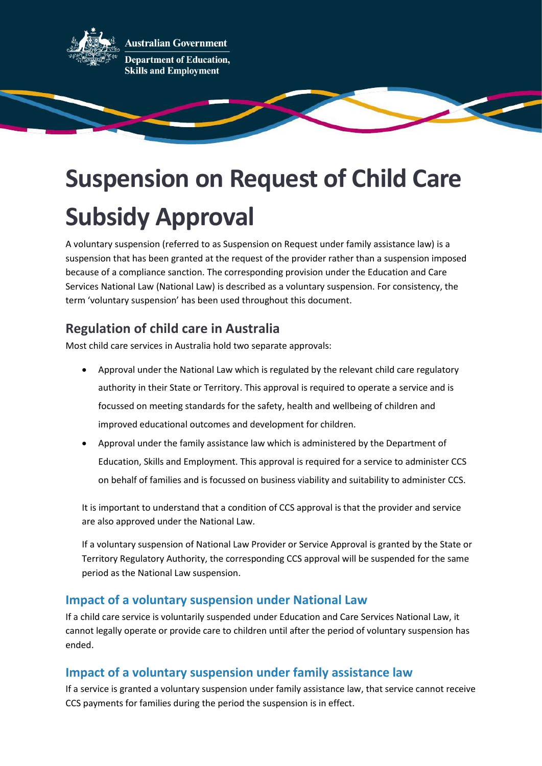

**Australian Government Department of Education, Skills and Employment** 

# **Suspension on Request of Child Care Subsidy Approval**

A voluntary suspension (referred to as Suspension on Request under family assistance law) is a suspension that has been granted at the request of the provider rather than a suspension imposed because of a compliance sanction. The corresponding provision under the Education and Care Services National Law (National Law) is described as a voluntary suspension. For consistency, the term 'voluntary suspension' has been used throughout this document.

# **Regulation of child care in Australia**

Most child care services in Australia hold two separate approvals:

- Approval under the National Law which is regulated by the relevant child care regulatory authority in their State or Territory. This approval is required to operate a service and is focussed on meeting standards for the safety, health and wellbeing of children and improved educational outcomes and development for children.
- Approval under the family assistance law which is administered by the Department of Education, Skills and Employment. This approval is required for a service to administer CCS on behalf of families and is focussed on business viability and suitability to administer CCS.

It is important to understand that a condition of CCS approval is that the provider and service are also approved under the National Law.

If a voluntary suspension of National Law Provider or Service Approval is granted by the State or Territory Regulatory Authority, the corresponding CCS approval will be suspended for the same period as the National Law suspension.

## **Impact of a voluntary suspension under National Law**

If a child care service is voluntarily suspended under Education and Care Services National Law, it cannot legally operate or provide care to children until after the period of voluntary suspension has ended.

## **Impact of a voluntary suspension under family assistance law**

If a service is granted a voluntary suspension under family assistance law, that service cannot receive CCS payments for families during the period the suspension is in effect.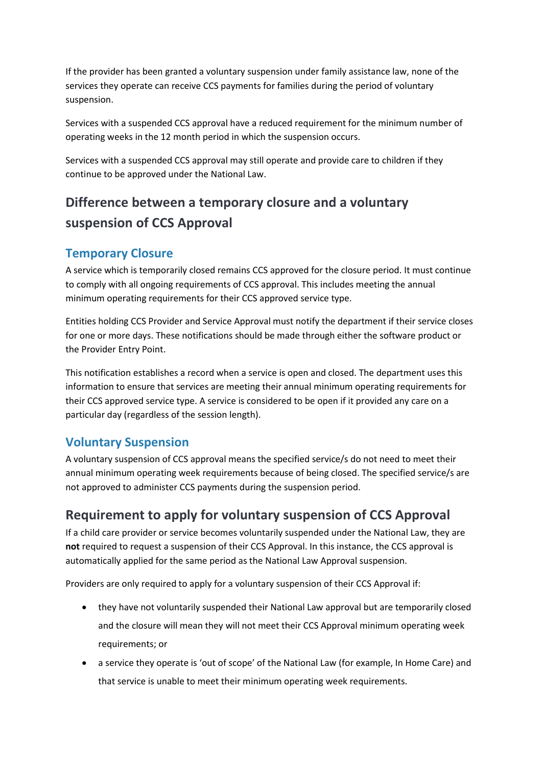If the provider has been granted a voluntary suspension under family assistance law, none of the services they operate can receive CCS payments for families during the period of voluntary suspension.

Services with a suspended CCS approval have a reduced requirement for the minimum number of operating weeks in the 12 month period in which the suspension occurs.

Services with a suspended CCS approval may still operate and provide care to children if they continue to be approved under the National Law.

# **Difference between a temporary closure and a voluntary suspension of CCS Approval**

#### **Temporary Closure**

A service which is temporarily closed remains CCS approved for the closure period. It must continue to comply with all ongoing requirements of CCS approval. This includes meeting the annual minimum operating requirements for their CCS approved service type.

Entities holding CCS Provider and Service Approval must notify the department if their service closes for one or more days. These notifications should be made through either the software product or the Provider Entry Point.

This notification establishes a record when a service is open and closed. The department uses this information to ensure that services are meeting their annual minimum operating requirements for their CCS approved service type. A service is considered to be open if it provided any care on a particular day (regardless of the session length).

## **Voluntary Suspension**

A voluntary suspension of CCS approval means the specified service/s do not need to meet their annual minimum operating week requirements because of being closed. The specified service/s are not approved to administer CCS payments during the suspension period.

# **Requirement to apply for voluntary suspension of CCS Approval**

If a child care provider or service becomes voluntarily suspended under the National Law, they are **not** required to request a suspension of their CCS Approval. In this instance, the CCS approval is automatically applied for the same period as the National Law Approval suspension.

Providers are only required to apply for a voluntary suspension of their CCS Approval if:

- they have not voluntarily suspended their National Law approval but are temporarily closed and the closure will mean they will not meet their CCS Approval minimum operating week requirements; or
- a service they operate is 'out of scope' of the National Law (for example, In Home Care) and that service is unable to meet their minimum operating week requirements.